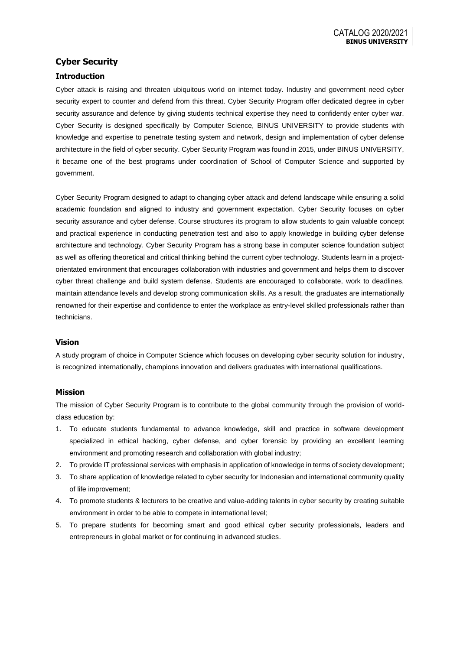# **Cyber Security**

## **Introduction**

Cyber attack is raising and threaten ubiquitous world on internet today. Industry and government need cyber security expert to counter and defend from this threat. Cyber Security Program offer dedicated degree in cyber security assurance and defence by giving students technical expertise they need to confidently enter cyber war. Cyber Security is designed specifically by Computer Science, BINUS UNIVERSITY to provide students with knowledge and expertise to penetrate testing system and network, design and implementation of cyber defense architecture in the field of cyber security. Cyber Security Program was found in 2015, under BINUS UNIVERSITY, it became one of the best programs under coordination of School of Computer Science and supported by government.

Cyber Security Program designed to adapt to changing cyber attack and defend landscape while ensuring a solid academic foundation and aligned to industry and government expectation. Cyber Security focuses on cyber security assurance and cyber defense. Course structures its program to allow students to gain valuable concept and practical experience in conducting penetration test and also to apply knowledge in building cyber defense architecture and technology. Cyber Security Program has a strong base in computer science foundation subject as well as offering theoretical and critical thinking behind the current cyber technology. Students learn in a projectorientated environment that encourages collaboration with industries and government and helps them to discover cyber threat challenge and build system defense. Students are encouraged to collaborate, work to deadlines, maintain attendance levels and develop strong communication skills. As a result, the graduates are internationally renowned for their expertise and confidence to enter the workplace as entry-level skilled professionals rather than technicians.

### **Vision**

A study program of choice in Computer Science which focuses on developing cyber security solution for industry, is recognized internationally, champions innovation and delivers graduates with international qualifications.

### **Mission**

The mission of Cyber Security Program is to contribute to the global community through the provision of worldclass education by:

- 1. To educate students fundamental to advance knowledge, skill and practice in software development specialized in ethical hacking, cyber defense, and cyber forensic by providing an excellent learning environment and promoting research and collaboration with global industry;
- 2. To provide IT professional services with emphasis in application of knowledge in terms of society development;
- 3. To share application of knowledge related to cyber security for Indonesian and international community quality of life improvement;
- 4. To promote students & lecturers to be creative and value-adding talents in cyber security by creating suitable environment in order to be able to compete in international level;
- 5. To prepare students for becoming smart and good ethical cyber security professionals, leaders and entrepreneurs in global market or for continuing in advanced studies.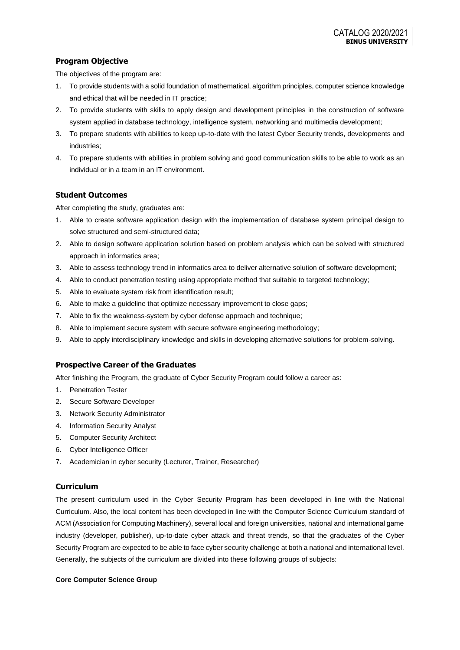# **Program Objective**

The objectives of the program are:

- 1. To provide students with a solid foundation of mathematical, algorithm principles, computer science knowledge and ethical that will be needed in IT practice;
- 2. To provide students with skills to apply design and development principles in the construction of software system applied in database technology, intelligence system, networking and multimedia development;
- 3. To prepare students with abilities to keep up-to-date with the latest Cyber Security trends, developments and industries;
- 4. To prepare students with abilities in problem solving and good communication skills to be able to work as an individual or in a team in an IT environment.

## **Student Outcomes**

After completing the study, graduates are:

- 1. Able to create software application design with the implementation of database system principal design to solve structured and semi-structured data;
- 2. Able to design software application solution based on problem analysis which can be solved with structured approach in informatics area;
- 3. Able to assess technology trend in informatics area to deliver alternative solution of software development;
- 4. Able to conduct penetration testing using appropriate method that suitable to targeted technology;
- 5. Able to evaluate system risk from identification result;
- 6. Able to make a guideline that optimize necessary improvement to close gaps;
- 7. Able to fix the weakness-system by cyber defense approach and technique;
- 8. Able to implement secure system with secure software engineering methodology;
- 9. Able to apply interdisciplinary knowledge and skills in developing alternative solutions for problem-solving.

### **Prospective Career of the Graduates**

After finishing the Program, the graduate of Cyber Security Program could follow a career as:

- 1. Penetration Tester
- 2. Secure Software Developer
- 3. Network Security Administrator
- 4. Information Security Analyst
- 5. Computer Security Architect
- 6. Cyber Intelligence Officer
- 7. Academician in cyber security (Lecturer, Trainer, Researcher)

### **Curriculum**

The present curriculum used in the Cyber Security Program has been developed in line with the National Curriculum. Also, the local content has been developed in line with the Computer Science Curriculum standard of ACM (Association for Computing Machinery), several local and foreign universities, national and international game industry (developer, publisher), up-to-date cyber attack and threat trends, so that the graduates of the Cyber Security Program are expected to be able to face cyber security challenge at both a national and international level. Generally, the subjects of the curriculum are divided into these following groups of subjects:

#### **Core Computer Science Group**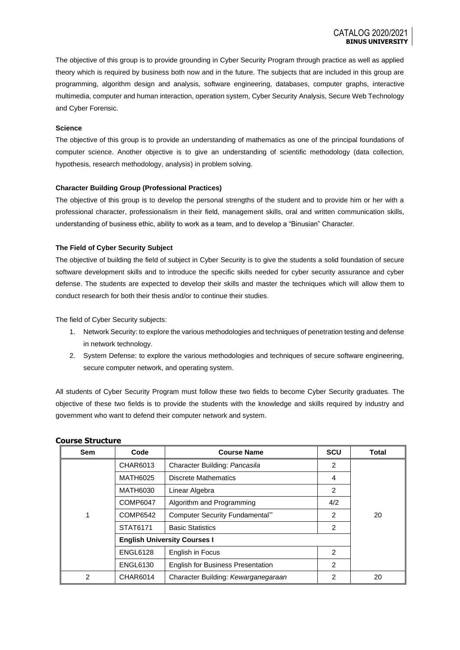The objective of this group is to provide grounding in Cyber Security Program through practice as well as applied theory which is required by business both now and in the future. The subjects that are included in this group are programming, algorithm design and analysis, software engineering, databases, computer graphs, interactive multimedia, computer and human interaction, operation system, Cyber Security Analysis, Secure Web Technology and Cyber Forensic.

#### **Science**

The objective of this group is to provide an understanding of mathematics as one of the principal foundations of computer science. Another objective is to give an understanding of scientific methodology (data collection, hypothesis, research methodology, analysis) in problem solving.

#### **Character Building Group (Professional Practices)**

The objective of this group is to develop the personal strengths of the student and to provide him or her with a professional character, professionalism in their field, management skills, oral and written communication skills, understanding of business ethic, ability to work as a team, and to develop a "Binusian" Character.

#### **The Field of Cyber Security Subject**

The objective of building the field of subject in Cyber Security is to give the students a solid foundation of secure software development skills and to introduce the specific skills needed for cyber security assurance and cyber defense. The students are expected to develop their skills and master the techniques which will allow them to conduct research for both their thesis and/or to continue their studies.

The field of Cyber Security subjects:

- 1. Network Security: to explore the various methodologies and techniques of penetration testing and defense in network technology.
- 2. System Defense: to explore the various methodologies and techniques of secure software engineering, secure computer network, and operating system.

All students of Cyber Security Program must follow these two fields to become Cyber Security graduates. The objective of these two fields is to provide the students with the knowledge and skills required by industry and government who want to defend their computer network and system.

| <b>Sem</b> | Code                                | <b>Course Name</b>                       | <b>SCU</b>     | Total |
|------------|-------------------------------------|------------------------------------------|----------------|-------|
|            | CHAR6013                            | Character Building: Pancasila            | 2              |       |
|            | <b>MATH6025</b>                     | <b>Discrete Mathematics</b>              | 4              |       |
|            | <b>MATH6030</b>                     | Linear Algebra                           | 2              |       |
|            | <b>COMP6047</b>                     | Algorithm and Programming                | 4/2            |       |
| 1          | COMP6542                            | <b>Computer Security Fundamental**</b>   | $\overline{2}$ | 20    |
|            | STAT6171                            | <b>Basic Statistics</b>                  | $\overline{2}$ |       |
|            | <b>English University Courses I</b> |                                          |                |       |
|            | <b>ENGL6128</b>                     | English in Focus                         | 2              |       |
|            | <b>ENGL6130</b>                     | <b>English for Business Presentation</b> | 2              |       |
| 2          | <b>CHAR6014</b>                     | Character Building: Kewarganegaraan      | 2              | 20    |

### **Course Structure**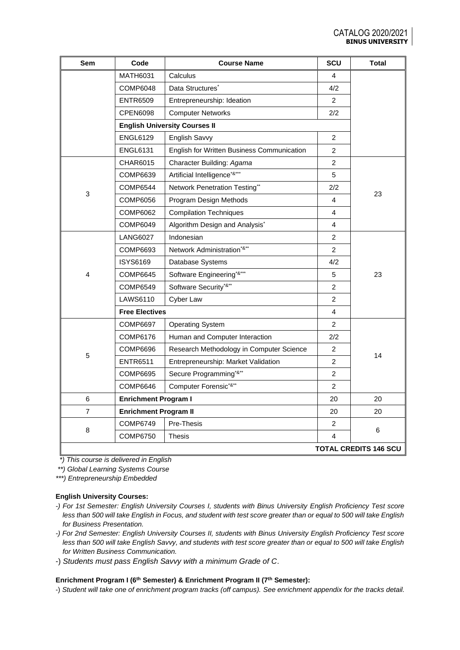| Sem            | Code                         | <b>Course Name</b>                           | <b>SCU</b>     | <b>Total</b>                 |
|----------------|------------------------------|----------------------------------------------|----------------|------------------------------|
|                | MATH6031                     | Calculus                                     | 4              |                              |
|                | <b>COMP6048</b>              | Data Structures <sup>*</sup>                 | 4/2            |                              |
|                | <b>ENTR6509</b>              | Entrepreneurship: Ideation                   | $\overline{2}$ |                              |
|                | <b>CPEN6098</b>              | <b>Computer Networks</b>                     | 2/2            |                              |
|                |                              | <b>English University Courses II</b>         |                |                              |
|                | <b>ENGL6129</b>              | English Savvy                                | $\overline{2}$ |                              |
|                | <b>ENGL6131</b>              | English for Written Business Communication   | 2              |                              |
|                | CHAR6015                     | Character Building: Agama                    | $\overline{2}$ |                              |
|                | COMP6639                     | Artificial Intelligence <sup>*&amp;***</sup> | 5              |                              |
| 3              | <b>COMP6544</b>              | Network Penetration Testing**                | 2/2            | 23                           |
|                | COMP6056                     | Program Design Methods                       | 4              |                              |
|                | COMP6062                     | <b>Compilation Techniques</b>                | 4              |                              |
|                | COMP6049                     | Algorithm Design and Analysis*               | 4              |                              |
|                | <b>LANG6027</b>              | Indonesian                                   | $\overline{2}$ |                              |
|                | COMP6693                     | Network Administration*&**                   | $\overline{2}$ |                              |
|                | ISYS6169                     | Database Systems                             | 4/2            |                              |
| 4              | <b>COMP6645</b>              | Software Engineering <sup>*&amp;***</sup>    | 5              | 23                           |
|                | COMP6549                     | Software Security*&**                        | $\overline{2}$ |                              |
|                | <b>LAWS6110</b>              | Cyber Law                                    | $\overline{2}$ |                              |
|                | <b>Free Electives</b>        |                                              | 4              |                              |
|                | <b>COMP6697</b>              | <b>Operating System</b>                      | $\overline{2}$ |                              |
|                | COMP6176                     | Human and Computer Interaction               | 2/2            |                              |
| 5              | <b>COMP6696</b>              | Research Methodology in Computer Science     | 2              | 14                           |
|                | <b>ENTR6511</b>              | Entrepreneurship: Market Validation          | $\overline{2}$ |                              |
|                | COMP6695                     | Secure Programming <sup>*&amp;**</sup>       | $\overline{2}$ |                              |
|                | <b>COMP6646</b>              | Computer Forensic <sup>*&amp;**</sup>        | $\overline{c}$ |                              |
| 6              |                              | <b>Enrichment Program I</b>                  |                | 20                           |
| $\overline{7}$ | <b>Enrichment Program II</b> |                                              | 20             | 20                           |
|                | <b>COMP6749</b>              | Pre-Thesis                                   | $\overline{2}$ |                              |
| 8              | <b>COMP6750</b>              | Thesis                                       | 4              | 6                            |
|                |                              |                                              |                | <b>TOTAL CREDITS 146 SCU</b> |

 *\*) This course is delivered in English*

*\*\*) Global Learning Systems Course*

*\*\*\*) Entrepreneurship Embedded*

### **English University Courses:**

- *-) For 1st Semester: English University Courses I, students with Binus University English Proficiency Test score less than 500 will take English in Focus, and student with test score greater than or equal to 500 will take English for Business Presentation.*
- *-) For 2nd Semester: English University Courses II, students with Binus University English Proficiency Test score less than 500 will take English Savvy, and students with test score greater than or equal to 500 will take English for Written Business Communication.*
- -) *Students must pass English Savvy with a minimum Grade of C*.

### **Enrichment Program I (6th Semester) & Enrichment Program II (7th Semester):**

-) *Student will take one of enrichment program tracks (off campus). See enrichment appendix for the tracks detail.*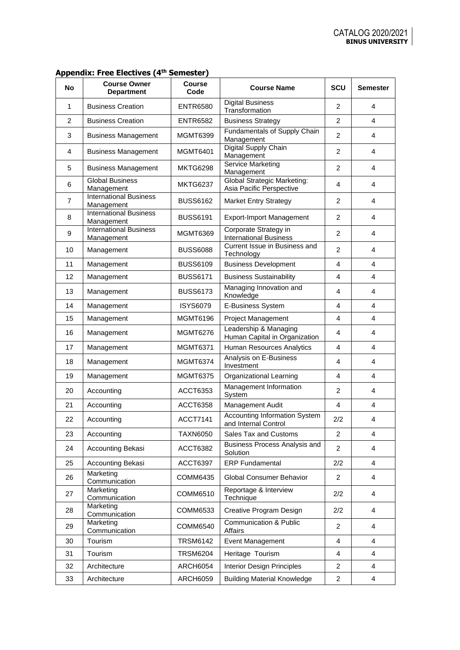| No             | <b>Course Owner</b><br><b>Department</b>    | <b>Course</b><br>Code | <b>Course Name</b>                                             | <b>SCU</b>     | <b>Semester</b> |
|----------------|---------------------------------------------|-----------------------|----------------------------------------------------------------|----------------|-----------------|
| 1              | <b>Business Creation</b>                    | <b>ENTR6580</b>       | <b>Digital Business</b><br>Transformation                      | $\overline{2}$ | 4               |
| 2              | <b>Business Creation</b>                    | <b>ENTR6582</b>       | <b>Business Strategy</b>                                       | $\overline{2}$ | 4               |
| 3              | <b>Business Management</b>                  | <b>MGMT6399</b>       | Fundamentals of Supply Chain<br>Management                     | 2              | 4               |
| 4              | <b>Business Management</b>                  | <b>MGMT6401</b>       | Digital Supply Chain<br>Management                             | 2              | 4               |
| 5              | <b>Business Management</b>                  | <b>MKTG6298</b>       | Service Marketing<br>Management                                | $\overline{2}$ | 4               |
| 6              | <b>Global Business</b><br>Management        | <b>MKTG6237</b>       | <b>Global Strategic Marketing:</b><br>Asia Pacific Perspective | 4              | 4               |
| $\overline{7}$ | <b>International Business</b><br>Management | <b>BUSS6162</b>       | <b>Market Entry Strategy</b>                                   | $\overline{2}$ | 4               |
| 8              | <b>International Business</b><br>Management | <b>BUSS6191</b>       | <b>Export-Import Management</b>                                | 2              | 4               |
| 9              | <b>International Business</b><br>Management | MGMT6369              | Corporate Strategy in<br><b>International Business</b>         | 2              | 4               |
| 10             | Management                                  | <b>BUSS6088</b>       | Current Issue in Business and<br>Technology                    | $\overline{2}$ | 4               |
| 11             | Management                                  | <b>BUSS6109</b>       | <b>Business Development</b>                                    | 4              | 4               |
| 12             | Management                                  | <b>BUSS6171</b>       | <b>Business Sustainability</b>                                 | 4              | 4               |
| 13             | Management                                  | <b>BUSS6173</b>       | Managing Innovation and<br>Knowledge                           | 4              | 4               |
| 14             | Management                                  | <b>ISYS6079</b>       | E-Business System                                              | 4              | 4               |
| 15             | Management                                  | <b>MGMT6196</b>       | Project Management                                             | 4              | 4               |
| 16             | Management                                  | <b>MGMT6276</b>       | Leadership & Managing<br>Human Capital in Organization         | 4              | 4               |
| 17             | Management                                  | <b>MGMT6371</b>       | Human Resources Analytics                                      | 4              | 4               |
| 18             | Management                                  | MGMT6374              | Analysis on E-Business<br>Investment                           | 4              | 4               |
| 19             | Management                                  | <b>MGMT6375</b>       | Organizational Learning                                        | 4              | 4               |
| 20             | Accounting                                  | ACCT6353              | Management Information<br>System                               | $\overline{2}$ | 4               |
| 21             | Accounting                                  | <b>ACCT6358</b>       | Management Audit                                               | $\overline{4}$ | 4               |
| 22             | Accountina                                  | <b>ACCT7141</b>       | <b>Accounting Information System</b><br>and Internal Control   | 2/2            | 4               |
| 23             | Accounting                                  | <b>TAXN6050</b>       | Sales Tax and Customs                                          | 2              | 4               |
| 24             | Accounting Bekasi                           | <b>ACCT6382</b>       | Business Process Analysis and<br>Solution                      | 2              | 4               |
| 25             | Accounting Bekasi                           | <b>ACCT6397</b>       | <b>ERP Fundamental</b>                                         | 2/2            | 4               |
| 26             | Marketing<br>Communication                  | COMM6435              | Global Consumer Behavior                                       | $\overline{2}$ | 4               |
| 27             | Marketing<br>Communication                  | COMM6510              | Reportage & Interview<br>Technique                             | 2/2            | 4               |
| 28             | Marketing<br>Communication                  | COMM6533              | Creative Program Design                                        | 2/2            | 4               |
| 29             | Marketing<br>Communication                  | COMM6540              | <b>Communication &amp; Public</b><br>Affairs                   | 2              | 4               |
| 30             | Tourism                                     | <b>TRSM6142</b>       | Event Management                                               | 4              | 4               |
| 31             | Tourism                                     | <b>TRSM6204</b>       | Heritage Tourism                                               | 4              | 4               |
| 32             | Architecture                                | <b>ARCH6054</b>       | <b>Interior Design Principles</b>                              | $\overline{2}$ | 4               |
| 33             | Architecture                                | <b>ARCH6059</b>       | <b>Building Material Knowledge</b>                             | $\overline{a}$ | 4               |

## **Appendix: Free Electives (4 th Semester)**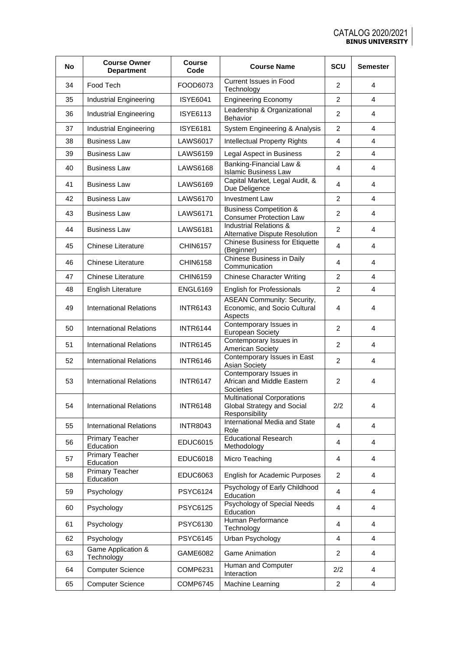| <b>No</b> | <b>Course Owner</b><br><b>Department</b> | Course<br>Code  | <b>Course Name</b>                                                                | SCU            | <b>Semester</b> |
|-----------|------------------------------------------|-----------------|-----------------------------------------------------------------------------------|----------------|-----------------|
| 34        | Food Tech                                | FOOD6073        | <b>Current Issues in Food</b><br>Technology                                       | $\overline{2}$ | 4               |
| 35        | Industrial Engineering                   | <b>ISYE6041</b> | <b>Engineering Economy</b>                                                        | $\overline{2}$ | 4               |
| 36        | Industrial Engineering                   | <b>ISYE6113</b> | Leadership & Organizational<br>Behavior                                           | $\overline{2}$ | 4               |
| 37        | Industrial Engineering                   | <b>ISYE6181</b> | System Engineering & Analysis                                                     | $\overline{2}$ | 4               |
| 38        | <b>Business Law</b>                      | <b>LAWS6017</b> | <b>Intellectual Property Rights</b>                                               | 4              | 4               |
| 39        | <b>Business Law</b>                      | <b>LAWS6159</b> | Legal Aspect in Business                                                          | $\overline{2}$ | 4               |
| 40        | <b>Business Law</b>                      | <b>LAWS6168</b> | Banking-Financial Law &<br><b>Islamic Business Law</b>                            | 4              | 4               |
| 41        | <b>Business Law</b>                      | <b>LAWS6169</b> | Capital Market, Legal Audit, &<br>Due Deligence                                   | 4              | 4               |
| 42        | <b>Business Law</b>                      | LAWS6170        | <b>Investment Law</b>                                                             | 2              | 4               |
| 43        | <b>Business Law</b>                      | <b>LAWS6171</b> | <b>Business Competition &amp;</b><br><b>Consumer Protection Law</b>               | $\overline{2}$ | 4               |
| 44        | <b>Business Law</b>                      | <b>LAWS6181</b> | <b>Industrial Relations &amp;</b><br>Alternative Dispute Resolution               | $\overline{2}$ | 4               |
| 45        | Chinese Literature                       | <b>CHIN6157</b> | <b>Chinese Business for Etiquette</b><br>(Beginner)                               | 4              | 4               |
| 46        | <b>Chinese Literature</b>                | <b>CHIN6158</b> | Chinese Business in Daily<br>Communication                                        | 4              | 4               |
| 47        | <b>Chinese Literature</b>                | <b>CHIN6159</b> | <b>Chinese Character Writing</b>                                                  | $\overline{2}$ | 4               |
| 48        | <b>English Literature</b>                | <b>ENGL6169</b> | English for Professionals                                                         | $\overline{2}$ | 4               |
| 49        | <b>International Relations</b>           | <b>INTR6143</b> | <b>ASEAN Community: Security,</b><br>Economic, and Socio Cultural<br>Aspects      | 4              | 4               |
| 50        | <b>International Relations</b>           | <b>INTR6144</b> | Contemporary Issues in<br><b>European Society</b>                                 | $\overline{2}$ | 4               |
| 51        | <b>International Relations</b>           | <b>INTR6145</b> | Contemporary Issues in<br>American Society                                        | $\overline{2}$ | 4               |
| 52        | <b>International Relations</b>           | <b>INTR6146</b> | Contemporary Issues in East<br><b>Asian Society</b>                               | 2              | 4               |
| 53        | <b>International Relations</b>           | <b>INTR6147</b> | Contemporary Issues in<br>African and Middle Eastern<br>Societies                 | 2              | 4               |
| 54        | <b>International Relations</b>           | <b>INTR6148</b> | <b>Multinational Corporations</b><br>Global Strategy and Social<br>Responsibility | 2/2            | 4               |
| 55        | <b>International Relations</b>           | <b>INTR8043</b> | International Media and State<br>Role                                             | 4              | 4               |
| 56        | Primary Teacher<br>Education             | <b>EDUC6015</b> | <b>Educational Research</b><br>Methodology                                        | 4              | 4               |
| 57        | <b>Primary Teacher</b><br>Education      | <b>EDUC6018</b> | Micro Teaching                                                                    | 4              | 4               |
| 58        | Primary Teacher<br>Education             | <b>EDUC6063</b> | English for Academic Purposes                                                     | $\overline{2}$ | 4               |
| 59        | Psychology                               | <b>PSYC6124</b> | Psychology of Early Childhood<br>Education                                        | 4              | 4               |
| 60        | Psychology                               | <b>PSYC6125</b> | Psychology of Special Needs<br>Education                                          | 4              | 4               |
| 61        | Psychology                               | <b>PSYC6130</b> | Human Performance<br>Technology                                                   | 4              | 4               |
| 62        | Psychology                               | <b>PSYC6145</b> | Urban Psychology                                                                  | 4              | 4               |
| 63        | Game Application &<br>Technology         | GAME6082        | Game Animation                                                                    | $\overline{c}$ | 4               |
| 64        | <b>Computer Science</b>                  | COMP6231        | Human and Computer<br>Interaction                                                 | 2/2            | 4               |
| 65        | <b>Computer Science</b>                  | <b>COMP6745</b> | Machine Learning                                                                  | $\overline{2}$ | 4               |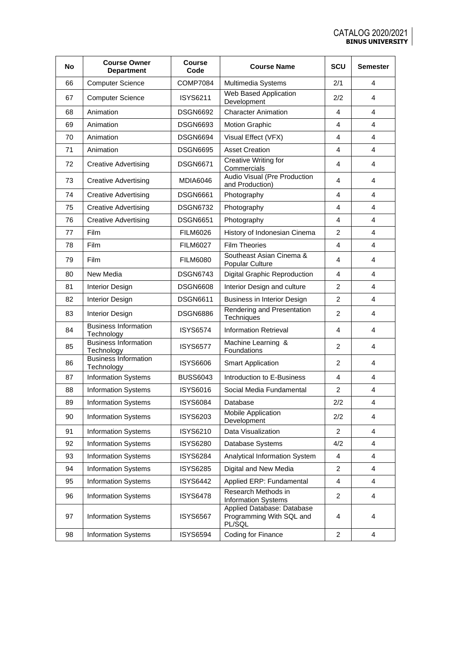| No | <b>Course Owner</b><br><b>Department</b>  | Course<br>Code  | <b>Course Name</b>                                               | SCU            | <b>Semester</b> |
|----|-------------------------------------------|-----------------|------------------------------------------------------------------|----------------|-----------------|
| 66 | <b>Computer Science</b>                   | <b>COMP7084</b> | Multimedia Systems                                               | 2/1            | 4               |
| 67 | <b>Computer Science</b>                   | <b>ISYS6211</b> | Web Based Application<br>Development                             | 2/2            | 4               |
| 68 | Animation                                 | <b>DSGN6692</b> | <b>Character Animation</b>                                       | 4              | 4               |
| 69 | Animation                                 | <b>DSGN6693</b> | <b>Motion Graphic</b>                                            | 4              | 4               |
| 70 | Animation                                 | <b>DSGN6694</b> | Visual Effect (VFX)                                              | $\overline{4}$ | 4               |
| 71 | Animation                                 | <b>DSGN6695</b> | <b>Asset Creation</b>                                            | 4              | 4               |
| 72 | <b>Creative Advertising</b>               | <b>DSGN6671</b> | Creative Writing for<br>Commercials                              | 4              | 4               |
| 73 | <b>Creative Advertising</b>               | <b>MDIA6046</b> | Audio Visual (Pre Production<br>and Production)                  | 4              | 4               |
| 74 | <b>Creative Advertising</b>               | <b>DSGN6661</b> | Photography                                                      | 4              | 4               |
| 75 | <b>Creative Advertising</b>               | <b>DSGN6732</b> | Photography                                                      | 4              | 4               |
| 76 | <b>Creative Advertising</b>               | <b>DSGN6651</b> | Photography                                                      | 4              | 4               |
| 77 | Film                                      | <b>FILM6026</b> | History of Indonesian Cinema                                     | 2              | 4               |
| 78 | <b>Film</b>                               | <b>FILM6027</b> | <b>Film Theories</b>                                             | $\overline{4}$ | 4               |
| 79 | Film                                      | <b>FILM6080</b> | Southeast Asian Cinema &<br>Popular Culture                      | 4              | 4               |
| 80 | New Media                                 | <b>DSGN6743</b> | <b>Digital Graphic Reproduction</b>                              | 4              | 4               |
| 81 | Interior Design                           | <b>DSGN6608</b> | Interior Design and culture                                      | 2              | 4               |
| 82 | <b>Interior Design</b>                    | <b>DSGN6611</b> | Business in Interior Design                                      | $\overline{2}$ | 4               |
| 83 | <b>Interior Design</b>                    | <b>DSGN6886</b> | Rendering and Presentation<br>Techniques                         | 2              | 4               |
| 84 | <b>Business Information</b><br>Technology | <b>ISYS6574</b> | <b>Information Retrieval</b>                                     | 4              | 4               |
| 85 | <b>Business Information</b><br>Technology | <b>ISYS6577</b> | Machine Learning &<br>Foundations                                | 2              | 4               |
| 86 | <b>Business Information</b><br>Technology | <b>ISYS6606</b> | <b>Smart Application</b>                                         | 2              | 4               |
| 87 | <b>Information Systems</b>                | <b>BUSS6043</b> | Introduction to E-Business                                       | 4              | 4               |
| 88 | <b>Information Systems</b>                | <b>ISYS6016</b> | Social Media Fundamental                                         | $\overline{c}$ | 4               |
| 89 | <b>Information Systems</b>                | <b>ISYS6084</b> | Database                                                         | 2/2            | 4               |
| 90 | Information Systems                       | ISYS6203        | Mobile Application<br>Development                                | 2/2            | 4               |
| 91 | <b>Information Systems</b>                | ISYS6210        | Data Visualization                                               | $\overline{2}$ | 4               |
| 92 | <b>Information Systems</b>                | <b>ISYS6280</b> | Database Systems                                                 | 4/2            | 4               |
| 93 | <b>Information Systems</b>                | <b>ISYS6284</b> | Analytical Information System                                    | 4              | 4               |
| 94 | <b>Information Systems</b>                | <b>ISYS6285</b> | Digital and New Media                                            | $\overline{2}$ | 4               |
| 95 | <b>Information Systems</b>                | <b>ISYS6442</b> | Applied ERP: Fundamental                                         | 4              | 4               |
| 96 | Information Systems                       | <b>ISYS6478</b> | Research Methods in<br><b>Information Systems</b>                | $\overline{2}$ | 4               |
| 97 | <b>Information Systems</b>                | <b>ISYS6567</b> | Applied Database: Database<br>Programming With SQL and<br>PL/SQL | 4              | 4               |
| 98 | Information Systems                       | <b>ISYS6594</b> | Coding for Finance                                               | $\overline{2}$ | 4               |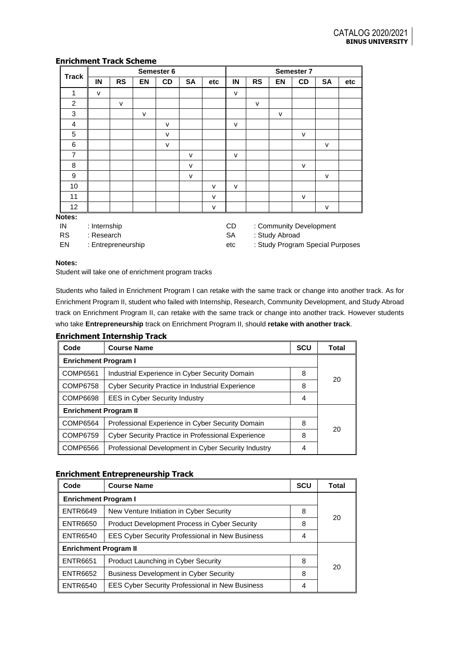## **Enrichment Track Scheme**

|                |                                               |           |              | Semester 6   |           | Semester 7   |              |           |    |              |              |     |
|----------------|-----------------------------------------------|-----------|--------------|--------------|-----------|--------------|--------------|-----------|----|--------------|--------------|-----|
| <b>Track</b>   | IN                                            | <b>RS</b> | <b>EN</b>    | CD           | <b>SA</b> | etc          | IN           | <b>RS</b> | EN | CD           | <b>SA</b>    | etc |
| 1              | $\mathsf{V}$                                  |           |              |              |           |              | $\mathsf{v}$ |           |    |              |              |     |
| $\overline{c}$ |                                               | v         |              |              |           |              |              | v         |    |              |              |     |
| 3              |                                               |           | $\mathsf{V}$ |              |           |              |              |           | v  |              |              |     |
| 4              |                                               |           |              | $\mathsf{V}$ |           |              | $\mathsf{v}$ |           |    |              |              |     |
| 5              |                                               |           |              | $\mathsf{V}$ |           |              |              |           |    | v            |              |     |
| 6              |                                               |           |              | $\mathsf{V}$ |           |              |              |           |    |              | $\mathsf{V}$ |     |
| $\overline{7}$ |                                               |           |              |              | $\vee$    |              | $\mathsf{v}$ |           |    |              |              |     |
| 8              |                                               |           |              |              | $\vee$    |              |              |           |    | $\mathsf{v}$ |              |     |
| 9              |                                               |           |              |              | $\vee$    |              |              |           |    |              | $\mathsf{V}$ |     |
| 10             |                                               |           |              |              |           | $\vee$       | $\mathsf{v}$ |           |    |              |              |     |
| 11             |                                               |           |              |              |           | $\mathsf{v}$ |              |           |    | $\mathsf{v}$ |              |     |
| 12             |                                               |           |              |              |           | $\mathsf{v}$ |              |           |    |              | $\mathsf{V}$ |     |
| Notes:         |                                               |           |              |              |           |              |              |           |    |              |              |     |
| IN             | : Internship<br>: Community Development<br>CD |           |              |              |           |              |              |           |    |              |              |     |

RS : Research

EN : Entrepreneurship

**Enrichment Internship Track**

SA : Study Abroad

etc : Study Program Special Purposes

### **Notes:**

Student will take one of enrichment program tracks

Students who failed in Enrichment Program I can retake with the same track or change into another track. As for Enrichment Program II, student who failed with Internship, Research, Community Development, and Study Abroad track on Enrichment Program II, can retake with the same track or change into another track. However students who take **Entrepreneurship** track on Enrichment Program II, should **retake with another track**.

| Code                         | <b>Course Name</b>                                        | <b>SCU</b> | Total |  |
|------------------------------|-----------------------------------------------------------|------------|-------|--|
| <b>Enrichment Program I</b>  |                                                           |            |       |  |
| COMP6561                     | Industrial Experience in Cyber Security Domain            | 8          | 20    |  |
| <b>COMP6758</b>              | <b>Cyber Security Practice in Industrial Experience</b>   | 8          |       |  |
| <b>COMP6698</b>              | <b>EES in Cyber Security Industry</b>                     | 4          |       |  |
| <b>Enrichment Program II</b> |                                                           |            |       |  |
| COMP6564                     | Professional Experience in Cyber Security Domain          | 8          | 20    |  |
| <b>COMP6759</b>              | <b>Cyber Security Practice in Professional Experience</b> | 8          |       |  |
| COMP6566                     | Professional Development in Cyber Security Industry       | 4          |       |  |

## **Enrichment Entrepreneurship Track**

| Code                         | <b>Course Name</b>                                     | <b>SCU</b> | Total |  |
|------------------------------|--------------------------------------------------------|------------|-------|--|
| <b>Enrichment Program I</b>  |                                                        |            |       |  |
| <b>ENTR6649</b>              | New Venture Initiation in Cyber Security               | 8          |       |  |
| <b>ENTR6650</b>              | <b>Product Development Process in Cyber Security</b>   | 8          | 20    |  |
| <b>ENTR6540</b>              | <b>EES Cyber Security Professional in New Business</b> | 4          |       |  |
| <b>Enrichment Program II</b> |                                                        |            |       |  |
| <b>ENTR6651</b>              | Product Launching in Cyber Security                    | 8          | 20    |  |
| <b>ENTR6652</b>              | <b>Business Development in Cyber Security</b>          | 8          |       |  |
| <b>ENTR6540</b>              | <b>EES Cyber Security Professional in New Business</b> | 4          |       |  |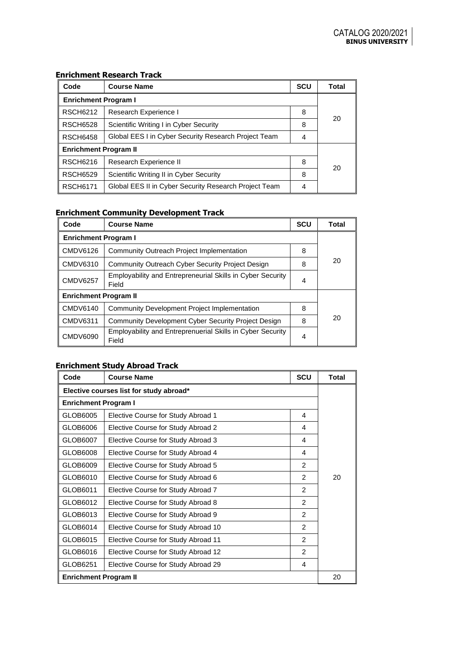| Code                         | <b>Course Name</b>                                    | <b>SCU</b> | Total |  |  |
|------------------------------|-------------------------------------------------------|------------|-------|--|--|
| <b>Enrichment Program I</b>  |                                                       |            |       |  |  |
| <b>RSCH6212</b>              | Research Experience I                                 | 8          | 20    |  |  |
| <b>RSCH6528</b>              | Scientific Writing I in Cyber Security                | 8          |       |  |  |
| <b>RSCH6458</b>              | Global EES I in Cyber Security Research Project Team  | 4          |       |  |  |
| <b>Enrichment Program II</b> |                                                       |            |       |  |  |
| <b>RSCH6216</b>              | Research Experience II                                | 8          |       |  |  |
| <b>RSCH6529</b>              | Scientific Writing II in Cyber Security               | 8          | 20    |  |  |
| <b>RSCH6171</b>              | Global EES II in Cyber Security Research Project Team | 4          |       |  |  |

## **Enrichment Research Track**

## **Enrichment Community Development Track**

| Code                         | <b>Course Name</b>                                                         | <b>SCU</b> | Total |  |  |
|------------------------------|----------------------------------------------------------------------------|------------|-------|--|--|
| <b>Enrichment Program I</b>  |                                                                            |            |       |  |  |
| <b>CMDV6126</b>              | Community Outreach Project Implementation                                  | 8          |       |  |  |
| <b>CMDV6310</b>              | Community Outreach Cyber Security Project Design                           | 8          | 20    |  |  |
| <b>CMDV6257</b>              | <b>Employability and Entrepreneurial Skills in Cyber Security</b><br>Field | 4          |       |  |  |
| <b>Enrichment Program II</b> |                                                                            |            |       |  |  |
| <b>CMDV6140</b>              | <b>Community Development Project Implementation</b>                        | 8          |       |  |  |
| <b>CMDV6311</b>              | Community Development Cyber Security Project Design                        | 8          | 20    |  |  |
| <b>CMDV6090</b>              | Employability and Entreprenuerial Skills in Cyber Security<br>Field        | 4          |       |  |  |

# **Enrichment Study Abroad Track**

| Code                                    | <b>Course Name</b>                  | <b>SCU</b>     | <b>Total</b> |  |
|-----------------------------------------|-------------------------------------|----------------|--------------|--|
| Elective courses list for study abroad* |                                     |                |              |  |
| <b>Enrichment Program I</b>             |                                     |                |              |  |
| GLOB6005                                | Elective Course for Study Abroad 1  | 4              |              |  |
| GLOB6006                                | Elective Course for Study Abroad 2  | 4              |              |  |
| GLOB6007                                | Elective Course for Study Abroad 3  | 4              |              |  |
| GLOB6008                                | Elective Course for Study Abroad 4  | 4              |              |  |
| GLOB6009                                | Elective Course for Study Abroad 5  | $\mathcal{P}$  |              |  |
| GLOB6010                                | Elective Course for Study Abroad 6  | 2              | 20           |  |
| GLOB6011                                | Elective Course for Study Abroad 7  | $\overline{c}$ |              |  |
| GLOB6012                                | Elective Course for Study Abroad 8  | $\mathcal{P}$  |              |  |
| GLOB6013                                | Elective Course for Study Abroad 9  | $\mathcal{P}$  |              |  |
| GLOB6014                                | Elective Course for Study Abroad 10 | $\mathfrak{p}$ |              |  |
| GLOB6015                                | Elective Course for Study Abroad 11 | $\overline{2}$ |              |  |
| GLOB6016                                | Elective Course for Study Abroad 12 | $\overline{c}$ |              |  |
| GLOB6251                                | Elective Course for Study Abroad 29 | 4              |              |  |
|                                         | <b>Enrichment Program II</b>        |                |              |  |